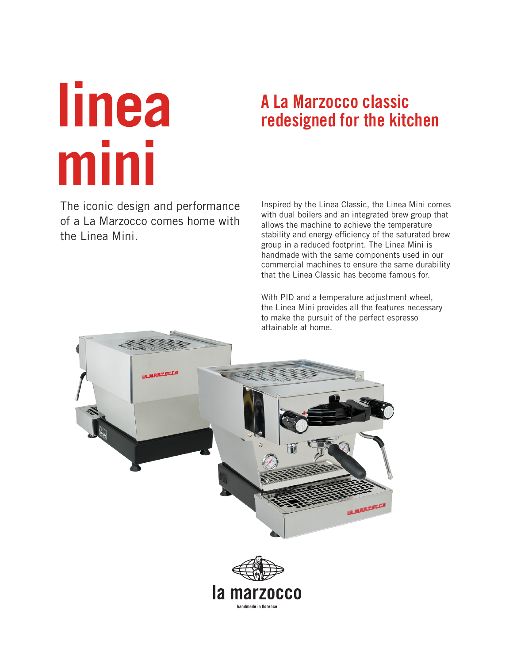# **linea mini**

# **A La Marzocco classic redesigned for the kitchen**

The iconic design and performance of a La Marzocco comes home with the Linea Mini.

Inspired by the Linea Classic, the Linea Mini comes with dual boilers and an integrated brew group that allows the machine to achieve the temperature stability and energy efficiency of the saturated brew group in a reduced footprint. The Linea Mini is handmade with the same components used in our commercial machines to ensure the same durability that the Linea Classic has become famous for.

With PID and a temperature adjustment wheel, the Linea Mini provides all the features necessary to make the pursuit of the perfect espresso attainable at home.



handmade in florence